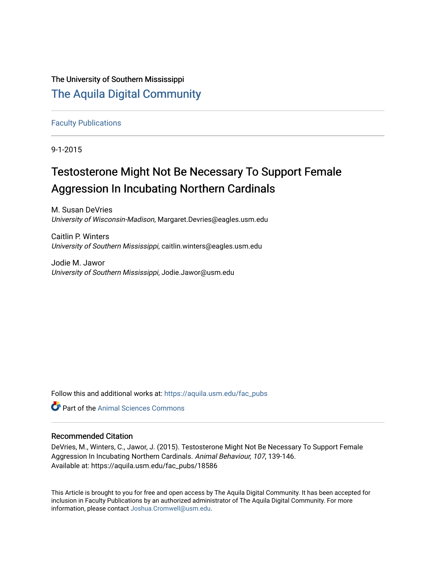# The University of Southern Mississippi [The Aquila Digital Community](https://aquila.usm.edu/)

## [Faculty Publications](https://aquila.usm.edu/fac_pubs)

9-1-2015

# Testosterone Might Not Be Necessary To Support Female Aggression In Incubating Northern Cardinals

M. Susan DeVries University of Wisconsin-Madison, Margaret.Devries@eagles.usm.edu

Caitlin P. Winters University of Southern Mississippi, caitlin.winters@eagles.usm.edu

Jodie M. Jawor University of Southern Mississippi, Jodie.Jawor@usm.edu

Follow this and additional works at: [https://aquila.usm.edu/fac\\_pubs](https://aquila.usm.edu/fac_pubs?utm_source=aquila.usm.edu%2Ffac_pubs%2F18586&utm_medium=PDF&utm_campaign=PDFCoverPages) 



# Recommended Citation

DeVries, M., Winters, C., Jawor, J. (2015). Testosterone Might Not Be Necessary To Support Female Aggression In Incubating Northern Cardinals. Animal Behaviour, 107, 139-146. Available at: https://aquila.usm.edu/fac\_pubs/18586

This Article is brought to you for free and open access by The Aquila Digital Community. It has been accepted for inclusion in Faculty Publications by an authorized administrator of The Aquila Digital Community. For more information, please contact [Joshua.Cromwell@usm.edu.](mailto:Joshua.Cromwell@usm.edu)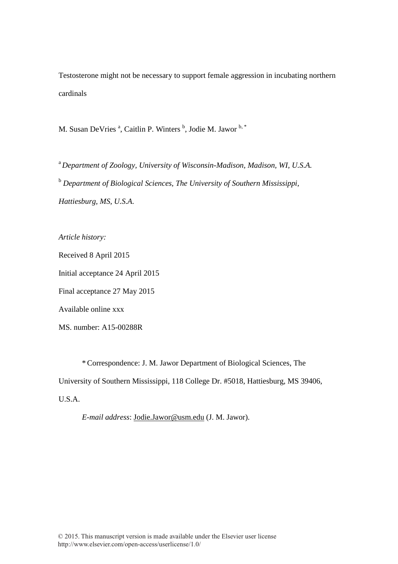Testosterone might not be necessary to support female aggression in incubating northern cardinals

M. Susan DeVries <sup>a</sup>, Caitlin P. Winters <sup>b</sup>, Jodie M. Jawor <sup>b, \*</sup>

<sup>a</sup>*Department of Zoology, University of Wisconsin-Madison, Madison, WI, U.S.A.* <sup>b</sup> *Department of Biological Sciences, The University of Southern Mississippi, Hattiesburg, MS, U.S.A.*

*Article history:* 

Received 8 April 2015

Initial acceptance 24 April 2015

Final acceptance 27 May 2015

Available online xxx

MS. number: A15-00288R

 \*Correspondence: J. M. Jawor Department of Biological Sciences, The University of Southern Mississippi, 118 College Dr. #5018, Hattiesburg, MS 39406, U.S.A.

*E-mail address*: Jodie.Jawor@usm.edu (J. M. Jawor).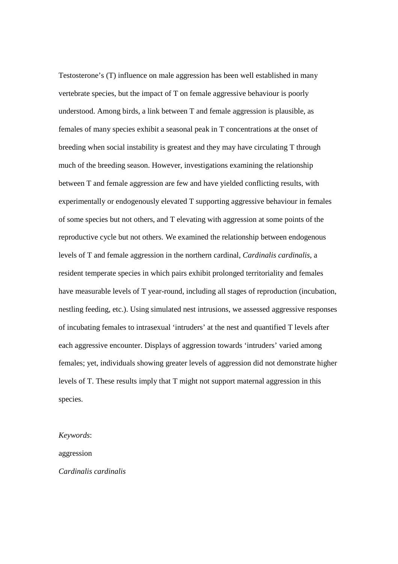Testosterone's (T) influence on male aggression has been well established in many vertebrate species, but the impact of T on female aggressive behaviour is poorly understood. Among birds, a link between T and female aggression is plausible, as females of many species exhibit a seasonal peak in T concentrations at the onset of breeding when social instability is greatest and they may have circulating T through much of the breeding season. However, investigations examining the relationship between T and female aggression are few and have yielded conflicting results, with experimentally or endogenously elevated T supporting aggressive behaviour in females of some species but not others, and T elevating with aggression at some points of the reproductive cycle but not others. We examined the relationship between endogenous levels of T and female aggression in the northern cardinal, *Cardinalis cardinalis*, a resident temperate species in which pairs exhibit prolonged territoriality and females have measurable levels of T year-round, including all stages of reproduction (incubation, nestling feeding, etc.). Using simulated nest intrusions, we assessed aggressive responses of incubating females to intrasexual 'intruders' at the nest and quantified T levels after each aggressive encounter. Displays of aggression towards 'intruders' varied among females; yet, individuals showing greater levels of aggression did not demonstrate higher levels of T. These results imply that T might not support maternal aggression in this species.

*Keywords*:

aggression

*Cardinalis cardinalis*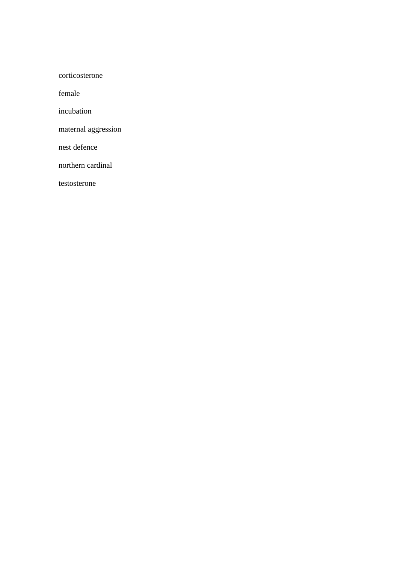corticosterone

female

incubation

maternal aggression

nest defence

northern cardinal

testosterone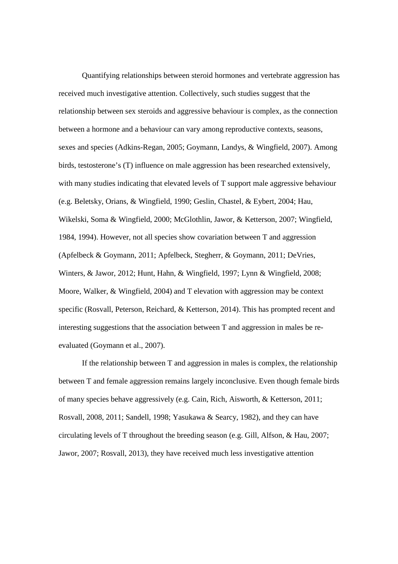Quantifying relationships between steroid hormones and vertebrate aggression has received much investigative attention. Collectively, such studies suggest that the relationship between sex steroids and aggressive behaviour is complex, as the connection between a hormone and a behaviour can vary among reproductive contexts, seasons, sexes and species (Adkins-Regan, 2005; Goymann, Landys, & Wingfield, 2007). Among birds, testosterone's (T) influence on male aggression has been researched extensively, with many studies indicating that elevated levels of T support male aggressive behaviour (e.g. Beletsky, Orians, & Wingfield, 1990; Geslin, Chastel, & Eybert, 2004; Hau, Wikelski, Soma & Wingfield, 2000; McGlothlin, Jawor, & Ketterson, 2007; Wingfield, 1984, 1994). However, not all species show covariation between T and aggression (Apfelbeck & Goymann, 2011; Apfelbeck, Stegherr, & Goymann, 2011; DeVries, Winters, & Jawor, 2012; Hunt, Hahn, & Wingfield, 1997; Lynn & Wingfield, 2008; Moore, Walker, & Wingfield, 2004) and T elevation with aggression may be context specific (Rosvall, Peterson, Reichard, & Ketterson, 2014). This has prompted recent and interesting suggestions that the association between T and aggression in males be reevaluated (Goymann et al., 2007).

If the relationship between T and aggression in males is complex, the relationship between T and female aggression remains largely inconclusive. Even though female birds of many species behave aggressively (e.g. Cain, Rich, Aisworth, & Ketterson, 2011; Rosvall, 2008, 2011; Sandell, 1998; Yasukawa & Searcy, 1982), and they can have circulating levels of T throughout the breeding season (e.g. Gill, Alfson, & Hau, 2007; Jawor, 2007; Rosvall, 2013), they have received much less investigative attention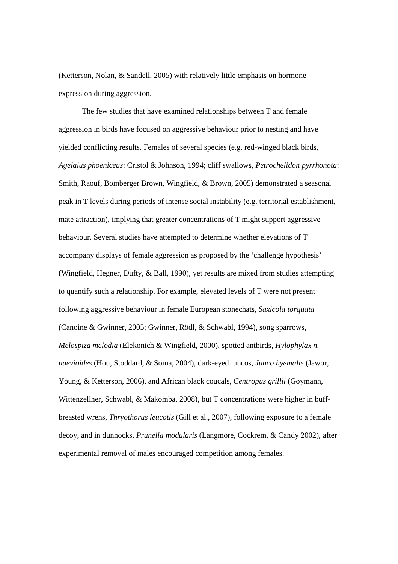(Ketterson, Nolan, & Sandell, 2005) with relatively little emphasis on hormone expression during aggression.

The few studies that have examined relationships between T and female aggression in birds have focused on aggressive behaviour prior to nesting and have yielded conflicting results. Females of several species (e.g. red-winged black birds, *Agelaius phoeniceus*: Cristol & Johnson, 1994; cliff swallows, *Petrochelidon pyrrhonota*: Smith, Raouf, Bomberger Brown, Wingfield, & Brown, 2005) demonstrated a seasonal peak in T levels during periods of intense social instability (e.g. territorial establishment, mate attraction), implying that greater concentrations of T might support aggressive behaviour. Several studies have attempted to determine whether elevations of T accompany displays of female aggression as proposed by the 'challenge hypothesis' (Wingfield, Hegner, Dufty, & Ball, 1990), yet results are mixed from studies attempting to quantify such a relationship. For example, elevated levels of T were not present following aggressive behaviour in female European stonechats, *Saxicola torquata* (Canoine & Gwinner, 2005; Gwinner, Rödl, & Schwabl, 1994), song sparrows, *Melospiza melodia* (Elekonich & Wingfield, 2000), spotted antbirds, *Hylophylax n. naevioides* (Hou, Stoddard, & Soma, 2004), dark-eyed juncos, *Junco hyemalis* (Jawor, Young, & Ketterson, 2006), and African black coucals, *Centropus grillii* (Goymann, Wittenzellner, Schwabl, & Makomba, 2008), but T concentrations were higher in buffbreasted wrens, *Thryothorus leucotis* (Gill et al., 2007), following exposure to a female decoy, and in dunnocks, *Prunella modularis* (Langmore, Cockrem, & Candy 2002), after experimental removal of males encouraged competition among females.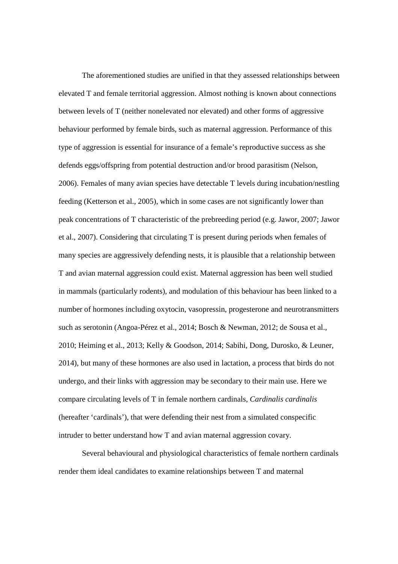The aforementioned studies are unified in that they assessed relationships between elevated T and female territorial aggression. Almost nothing is known about connections between levels of T (neither nonelevated nor elevated) and other forms of aggressive behaviour performed by female birds, such as maternal aggression. Performance of this type of aggression is essential for insurance of a female's reproductive success as she defends eggs/offspring from potential destruction and/or brood parasitism (Nelson, 2006). Females of many avian species have detectable T levels during incubation/nestling feeding (Ketterson et al., 2005), which in some cases are not significantly lower than peak concentrations of T characteristic of the prebreeding period (e.g. Jawor, 2007; Jawor et al., 2007). Considering that circulating T is present during periods when females of many species are aggressively defending nests, it is plausible that a relationship between T and avian maternal aggression could exist. Maternal aggression has been well studied in mammals (particularly rodents), and modulation of this behaviour has been linked to a number of hormones including oxytocin, vasopressin, progesterone and neurotransmitters such as serotonin (Angoa-Pérez et al., 2014; Bosch & Newman, 2012; de Sousa et al., 2010; Heiming et al., 2013; Kelly & Goodson, 2014; Sabihi, Dong, Durosko, & Leuner, 2014), but many of these hormones are also used in lactation, a process that birds do not undergo, and their links with aggression may be secondary to their main use. Here we compare circulating levels of T in female northern cardinals, *Cardinalis cardinalis* (hereafter 'cardinals'), that were defending their nest from a simulated conspecific intruder to better understand how T and avian maternal aggression covary.

Several behavioural and physiological characteristics of female northern cardinals render them ideal candidates to examine relationships between T and maternal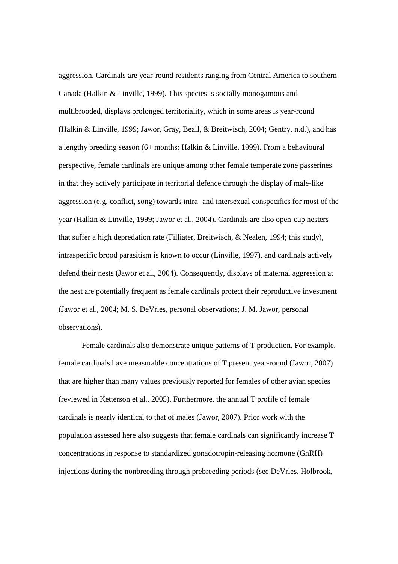aggression. Cardinals are year-round residents ranging from Central America to southern Canada (Halkin & Linville, 1999). This species is socially monogamous and multibrooded, displays prolonged territoriality, which in some areas is year-round (Halkin & Linville, 1999; Jawor, Gray, Beall, & Breitwisch, 2004; Gentry, n.d.), and has a lengthy breeding season (6+ months; Halkin & Linville, 1999). From a behavioural perspective, female cardinals are unique among other female temperate zone passerines in that they actively participate in territorial defence through the display of male-like aggression (e.g. conflict, song) towards intra- and intersexual conspecifics for most of the year (Halkin & Linville, 1999; Jawor et al., 2004). Cardinals are also open-cup nesters that suffer a high depredation rate (Filliater, Breitwisch, & Nealen, 1994; this study), intraspecific brood parasitism is known to occur (Linville, 1997), and cardinals actively defend their nests (Jawor et al., 2004). Consequently, displays of maternal aggression at the nest are potentially frequent as female cardinals protect their reproductive investment (Jawor et al., 2004; M. S. DeVries, personal observations; J. M. Jawor, personal observations).

Female cardinals also demonstrate unique patterns of T production. For example, female cardinals have measurable concentrations of T present year-round (Jawor, 2007) that are higher than many values previously reported for females of other avian species (reviewed in Ketterson et al., 2005). Furthermore, the annual T profile of female cardinals is nearly identical to that of males (Jawor, 2007). Prior work with the population assessed here also suggests that female cardinals can significantly increase T concentrations in response to standardized gonadotropin-releasing hormone (GnRH) injections during the nonbreeding through prebreeding periods (see DeVries, Holbrook,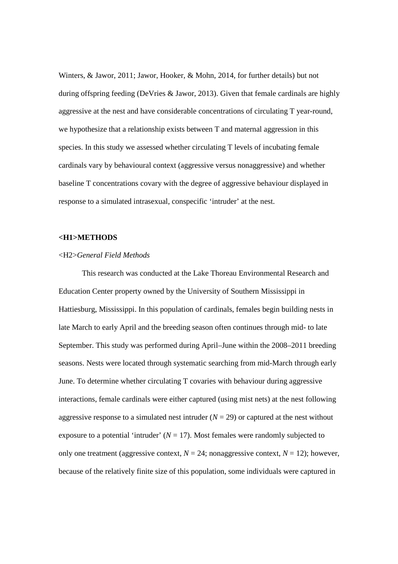Winters, & Jawor, 2011; Jawor, Hooker, & Mohn, 2014, for further details) but not during offspring feeding (DeVries & Jawor, 2013). Given that female cardinals are highly aggressive at the nest and have considerable concentrations of circulating T year-round, we hypothesize that a relationship exists between T and maternal aggression in this species. In this study we assessed whether circulating T levels of incubating female cardinals vary by behavioural context (aggressive versus nonaggressive) and whether baseline T concentrations covary with the degree of aggressive behaviour displayed in response to a simulated intrasexual, conspecific 'intruder' at the nest.

### **<H1>METHODS**

#### <H2>*General Field Methods*

This research was conducted at the Lake Thoreau Environmental Research and Education Center property owned by the University of Southern Mississippi in Hattiesburg, Mississippi. In this population of cardinals, females begin building nests in late March to early April and the breeding season often continues through mid- to late September. This study was performed during April–June within the 2008–2011 breeding seasons. Nests were located through systematic searching from mid-March through early June. To determine whether circulating T covaries with behaviour during aggressive interactions, female cardinals were either captured (using mist nets) at the nest following aggressive response to a simulated nest intruder  $(N = 29)$  or captured at the nest without exposure to a potential 'intruder'  $(N = 17)$ . Most females were randomly subjected to only one treatment (aggressive context,  $N = 24$ ; nonaggressive context,  $N = 12$ ); however, because of the relatively finite size of this population, some individuals were captured in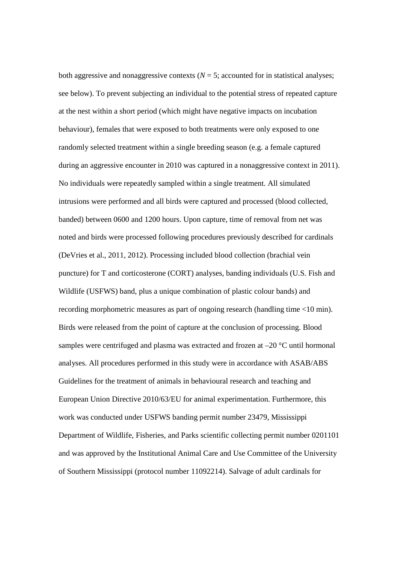both aggressive and nonaggressive contexts  $(N = 5)$ ; accounted for in statistical analyses; see below). To prevent subjecting an individual to the potential stress of repeated capture at the nest within a short period (which might have negative impacts on incubation behaviour), females that were exposed to both treatments were only exposed to one randomly selected treatment within a single breeding season (e.g. a female captured during an aggressive encounter in 2010 was captured in a nonaggressive context in 2011). No individuals were repeatedly sampled within a single treatment. All simulated intrusions were performed and all birds were captured and processed (blood collected, banded) between 0600 and 1200 hours. Upon capture, time of removal from net was noted and birds were processed following procedures previously described for cardinals (DeVries et al., 2011, 2012). Processing included blood collection (brachial vein puncture) for T and corticosterone (CORT) analyses, banding individuals (U.S. Fish and Wildlife (USFWS) band, plus a unique combination of plastic colour bands) and recording morphometric measures as part of ongoing research (handling time <10 min). Birds were released from the point of capture at the conclusion of processing. Blood samples were centrifuged and plasma was extracted and frozen at –20 °C until hormonal analyses. All procedures performed in this study were in accordance with ASAB/ABS Guidelines for the treatment of animals in behavioural research and teaching and European Union Directive 2010/63/EU for animal experimentation. Furthermore, this work was conducted under USFWS banding permit number 23479, Mississippi Department of Wildlife, Fisheries, and Parks scientific collecting permit number 0201101 and was approved by the Institutional Animal Care and Use Committee of the University of Southern Mississippi (protocol number 11092214). Salvage of adult cardinals for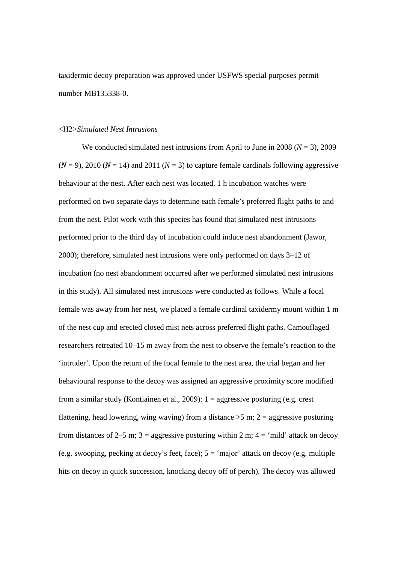taxidermic decoy preparation was approved under USFWS special purposes permit number MB135338-0.

## <H2>*Simulated Nest Intrusions*

We conducted simulated nest intrusions from April to June in 2008 ( $N = 3$ ), 2009  $(N = 9)$ , 2010  $(N = 14)$  and 2011  $(N = 3)$  to capture female cardinals following aggressive behaviour at the nest. After each nest was located, 1 h incubation watches were performed on two separate days to determine each female's preferred flight paths to and from the nest. Pilot work with this species has found that simulated nest intrusions performed prior to the third day of incubation could induce nest abandonment (Jawor, 2000); therefore, simulated nest intrusions were only performed on days 3–12 of incubation (no nest abandonment occurred after we performed simulated nest intrusions in this study). All simulated nest intrusions were conducted as follows. While a focal female was away from her nest, we placed a female cardinal taxidermy mount within 1 m of the nest cup and erected closed mist nets across preferred flight paths. Camouflaged researchers retreated 10–15 m away from the nest to observe the female's reaction to the 'intruder'. Upon the return of the focal female to the nest area, the trial began and her behavioural response to the decoy was assigned an aggressive proximity score modified from a similar study (Kontiainen et al., 2009): 1 = aggressive posturing (e.g. crest flattening, head lowering, wing waving) from a distance  $>5$  m;  $2 =$  aggressive posturing from distances of 2–5 m;  $3 =$  aggressive posturing within 2 m;  $4 =$  'mild' attack on decoy (e.g. swooping, pecking at decoy's feet, face);  $5 = \text{`major'}$  attack on decoy (e.g. multiple hits on decoy in quick succession, knocking decoy off of perch). The decoy was allowed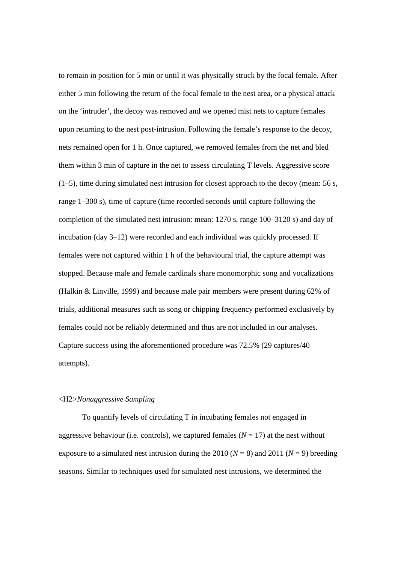to remain in position for 5 min or until it was physically struck by the focal female. After either 5 min following the return of the focal female to the nest area, or a physical attack on the 'intruder', the decoy was removed and we opened mist nets to capture females upon returning to the nest post-intrusion. Following the female's response to the decoy, nets remained open for 1 h. Once captured, we removed females from the net and bled them within 3 min of capture in the net to assess circulating T levels. Aggressive score (1–5), time during simulated nest intrusion for closest approach to the decoy (mean: 56 s, range 1–300 s), time of capture (time recorded seconds until capture following the completion of the simulated nest intrusion: mean: 1270 s, range 100–3120 s) and day of incubation (day 3–12) were recorded and each individual was quickly processed. If females were not captured within 1 h of the behavioural trial, the capture attempt was stopped. Because male and female cardinals share monomorphic song and vocalizations (Halkin & Linville, 1999) and because male pair members were present during 62% of trials, additional measures such as song or chipping frequency performed exclusively by females could not be reliably determined and thus are not included in our analyses. Capture success using the aforementioned procedure was 72.5% (29 captures/40 attempts).

#### <H2>*Nonaggressive Sampling*

 To quantify levels of circulating T in incubating females not engaged in aggressive behaviour (i.e. controls), we captured females  $(N = 17)$  at the nest without exposure to a simulated nest intrusion during the 2010 ( $N = 8$ ) and 2011 ( $N = 9$ ) breeding seasons. Similar to techniques used for simulated nest intrusions, we determined the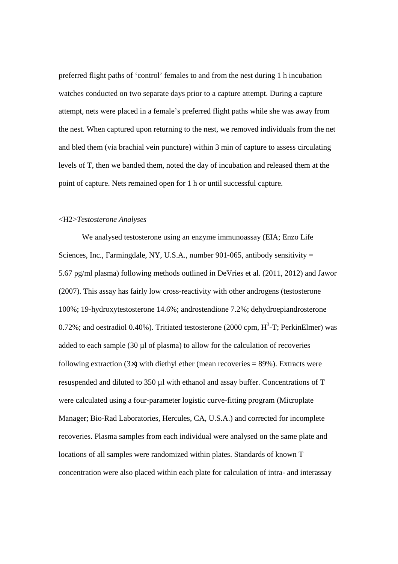preferred flight paths of 'control' females to and from the nest during 1 h incubation watches conducted on two separate days prior to a capture attempt. During a capture attempt, nets were placed in a female's preferred flight paths while she was away from the nest. When captured upon returning to the nest, we removed individuals from the net and bled them (via brachial vein puncture) within 3 min of capture to assess circulating levels of T, then we banded them, noted the day of incubation and released them at the point of capture. Nets remained open for 1 h or until successful capture.

#### <H2>*Testosterone Analyses*

We analysed testosterone using an enzyme immunoassay (EIA; Enzo Life Sciences, Inc., Farmingdale, NY, U.S.A., number 901-065, antibody sensitivity  $=$ 5.67 pg/ml plasma) following methods outlined in DeVries et al. (2011, 2012) and Jawor (2007). This assay has fairly low cross-reactivity with other androgens (testosterone 100%; 19-hydroxytestosterone 14.6%; androstendione 7.2%; dehydroepiandrosterone 0.72%; and oestradiol 0.40%). Tritiated testosterone (2000 cpm,  $H^3$ -T; PerkinElmer) was added to each sample  $(30 \mu)$  of plasma) to allow for the calculation of recoveries following extraction  $(3\times)$  with diethyl ether (mean recoveries = 89%). Extracts were resuspended and diluted to 350 µl with ethanol and assay buffer. Concentrations of T were calculated using a four-parameter logistic curve-fitting program (Microplate Manager; Bio-Rad Laboratories, Hercules, CA, U.S.A.) and corrected for incomplete recoveries. Plasma samples from each individual were analysed on the same plate and locations of all samples were randomized within plates. Standards of known T concentration were also placed within each plate for calculation of intra- and interassay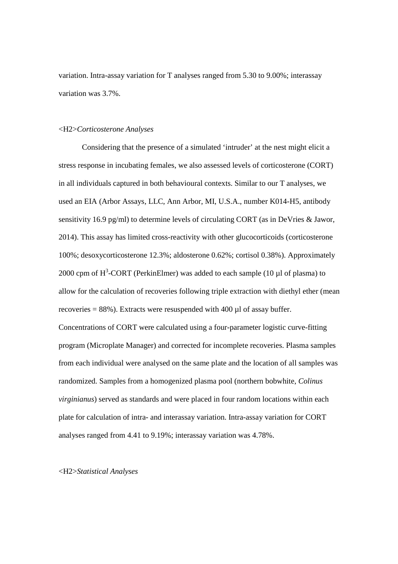variation. Intra-assay variation for T analyses ranged from 5.30 to 9.00%; interassay variation was 3.7%.

#### <H2>*Corticosterone Analyses*

Considering that the presence of a simulated 'intruder' at the nest might elicit a stress response in incubating females, we also assessed levels of corticosterone (CORT) in all individuals captured in both behavioural contexts. Similar to our T analyses, we used an EIA (Arbor Assays, LLC, Ann Arbor, MI, U.S.A., number K014-H5, antibody sensitivity 16.9 pg/ml) to determine levels of circulating CORT (as in DeVries & Jawor, 2014). This assay has limited cross-reactivity with other glucocorticoids (corticosterone 100%; desoxycorticosterone 12.3%; aldosterone 0.62%; cortisol 0.38%). Approximately 2000 cpm of  $H^3$ -CORT (PerkinElmer) was added to each sample (10 µl of plasma) to allow for the calculation of recoveries following triple extraction with diethyl ether (mean recoveries =  $88\%$ ). Extracts were resuspended with  $400 \mu$ l of assay buffer. Concentrations of CORT were calculated using a four-parameter logistic curve-fitting program (Microplate Manager) and corrected for incomplete recoveries. Plasma samples from each individual were analysed on the same plate and the location of all samples was

randomized. Samples from a homogenized plasma pool (northern bobwhite, *Colinus virginianus*) served as standards and were placed in four random locations within each plate for calculation of intra- and interassay variation. Intra-assay variation for CORT analyses ranged from 4.41 to 9.19%; interassay variation was 4.78%.

#### <H2>*Statistical Analyses*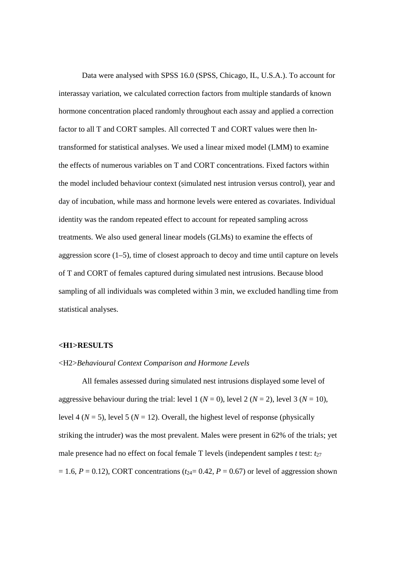Data were analysed with SPSS 16.0 (SPSS, Chicago, IL, U.S.A.). To account for interassay variation, we calculated correction factors from multiple standards of known hormone concentration placed randomly throughout each assay and applied a correction factor to all T and CORT samples. All corrected T and CORT values were then lntransformed for statistical analyses. We used a linear mixed model (LMM) to examine the effects of numerous variables on T and CORT concentrations. Fixed factors within the model included behaviour context (simulated nest intrusion versus control), year and day of incubation, while mass and hormone levels were entered as covariates. Individual identity was the random repeated effect to account for repeated sampling across treatments. We also used general linear models (GLMs) to examine the effects of aggression score (1–5), time of closest approach to decoy and time until capture on levels of T and CORT of females captured during simulated nest intrusions. Because blood sampling of all individuals was completed within 3 min, we excluded handling time from statistical analyses.

#### **<H1>RESULTS**

#### <H2>*Behavioural Context Comparison and Hormone Levels*

All females assessed during simulated nest intrusions displayed some level of aggressive behaviour during the trial: level 1 ( $N = 0$ ), level 2 ( $N = 2$ ), level 3 ( $N = 10$ ), level 4 ( $N = 5$ ), level 5 ( $N = 12$ ). Overall, the highest level of response (physically striking the intruder) was the most prevalent. Males were present in 62% of the trials; yet male presence had no effect on focal female T levels (independent samples *t* test:  $t_{27}$  $= 1.6, P = 0.12$ ), CORT concentrations ( $t_{24} = 0.42, P = 0.67$ ) or level of aggression shown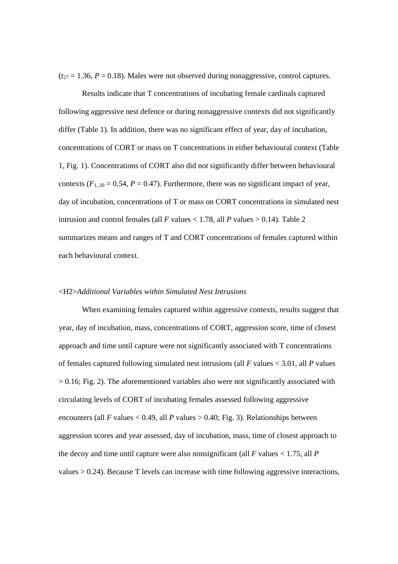$(t_{27} = 1.36, P = 0.18)$ . Males were not observed during nonaggressive, control captures.

Results indicate that T concentrations of incubating female cardinals captured following aggressive nest defence or during nonaggressive contexts did not significantly differ (Table 1). In addition, there was no significant effect of year, day of incubation, concentrations of CORT or mass on T concentrations in either behavioural context (Table 1, Fig. 1). Concentrations of CORT also did not significantly differ between behavioural contexts  $(F_{1, 20} = 0.54, P = 0.47)$ . Furthermore, there was no significant impact of year, day of incubation, concentrations of T or mass on CORT concentrations in simulated nest intrusion and control females (all *F* values  $<$  1.78, all *P* values  $>$  0.14). Table 2 summarizes means and ranges of T and CORT concentrations of females captured within each behavioural context.

#### <H2>*Additional Variables within Simulated Nest Intrusions*

 When examining females captured within aggressive contexts, results suggest that year, day of incubation, mass, concentrations of CORT, aggression score, time of closest approach and time until capture were not significantly associated with T concentrations of females captured following simulated nest intrusions (all *F* values < 3.01, all *P* values  $> 0.16$ ; Fig. 2). The aforementioned variables also were not significantly associated with circulating levels of CORT of incubating females assessed following aggressive encounters (all *F* values  $< 0.49$ , all *P* values  $> 0.40$ ; Fig. 3). Relationships between aggression scores and year assessed, day of incubation, mass, time of closest approach to the decoy and time until capture were also nonsignificant (all  $F$  values  $< 1.75$ , all  $P$ values > 0.24). Because T levels can increase with time following aggressive interactions,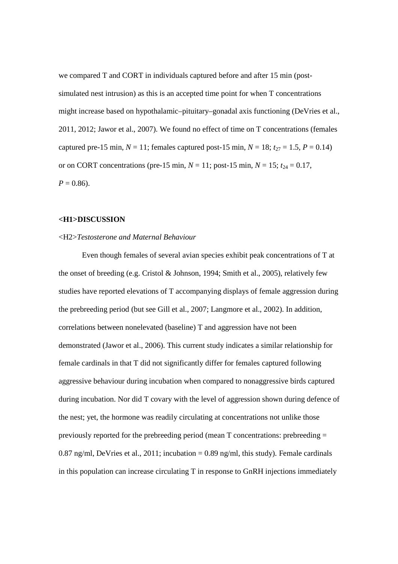we compared T and CORT in individuals captured before and after 15 min (postsimulated nest intrusion) as this is an accepted time point for when T concentrations might increase based on hypothalamic–pituitary–gonadal axis functioning (DeVries et al., 2011, 2012; Jawor et al., 2007). We found no effect of time on T concentrations (females captured pre-15 min,  $N = 11$ ; females captured post-15 min,  $N = 18$ ;  $t_{27} = 1.5$ ,  $P = 0.14$ ) or on CORT concentrations (pre-15 min,  $N = 11$ ; post-15 min,  $N = 15$ ;  $t_{24} = 0.17$ ,  $P = 0.86$ .

#### **<H1>DISCUSSION**

#### <H2>*Testosterone and Maternal Behaviour*

Even though females of several avian species exhibit peak concentrations of T at the onset of breeding (e.g. Cristol & Johnson, 1994; Smith et al., 2005), relatively few studies have reported elevations of T accompanying displays of female aggression during the prebreeding period (but see Gill et al., 2007; Langmore et al., 2002). In addition, correlations between nonelevated (baseline) T and aggression have not been demonstrated (Jawor et al., 2006). This current study indicates a similar relationship for female cardinals in that T did not significantly differ for females captured following aggressive behaviour during incubation when compared to nonaggressive birds captured during incubation. Nor did T covary with the level of aggression shown during defence of the nest; yet, the hormone was readily circulating at concentrations not unlike those previously reported for the prebreeding period (mean T concentrations: prebreeding = 0.87 ng/ml, DeVries et al., 2011; incubation = 0.89 ng/ml, this study). Female cardinals in this population can increase circulating T in response to GnRH injections immediately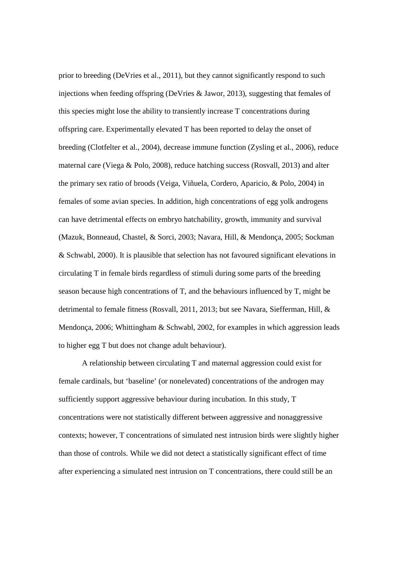prior to breeding (DeVries et al., 2011), but they cannot significantly respond to such injections when feeding offspring (DeVries & Jawor, 2013), suggesting that females of this species might lose the ability to transiently increase T concentrations during offspring care. Experimentally elevated T has been reported to delay the onset of breeding (Clotfelter et al., 2004), decrease immune function (Zysling et al., 2006), reduce maternal care (Viega & Polo, 2008), reduce hatching success (Rosvall, 2013) and alter the primary sex ratio of broods (Veiga, Viñuela, Cordero, Aparicio, & Polo, 2004) in females of some avian species. In addition, high concentrations of egg yolk androgens can have detrimental effects on embryo hatchability, growth, immunity and survival (Mazuk, Bonneaud, Chastel, & Sorci, 2003; Navara, Hill, & Mendonça, 2005; Sockman & Schwabl, 2000). It is plausible that selection has not favoured significant elevations in circulating T in female birds regardless of stimuli during some parts of the breeding season because high concentrations of T, and the behaviours influenced by T, might be detrimental to female fitness (Rosvall, 2011, 2013; but see Navara, Siefferman, Hill, & Mendonça, 2006; Whittingham & Schwabl, 2002, for examples in which aggression leads to higher egg T but does not change adult behaviour).

A relationship between circulating T and maternal aggression could exist for female cardinals, but 'baseline' (or nonelevated) concentrations of the androgen may sufficiently support aggressive behaviour during incubation. In this study, T concentrations were not statistically different between aggressive and nonaggressive contexts; however, T concentrations of simulated nest intrusion birds were slightly higher than those of controls. While we did not detect a statistically significant effect of time after experiencing a simulated nest intrusion on T concentrations, there could still be an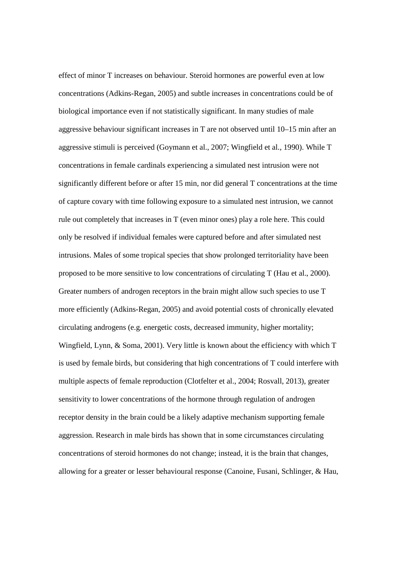effect of minor T increases on behaviour. Steroid hormones are powerful even at low concentrations (Adkins-Regan, 2005) and subtle increases in concentrations could be of biological importance even if not statistically significant. In many studies of male aggressive behaviour significant increases in T are not observed until 10–15 min after an aggressive stimuli is perceived (Goymann et al., 2007; Wingfield et al., 1990). While T concentrations in female cardinals experiencing a simulated nest intrusion were not significantly different before or after 15 min, nor did general T concentrations at the time of capture covary with time following exposure to a simulated nest intrusion, we cannot rule out completely that increases in T (even minor ones) play a role here. This could only be resolved if individual females were captured before and after simulated nest intrusions. Males of some tropical species that show prolonged territoriality have been proposed to be more sensitive to low concentrations of circulating T (Hau et al., 2000). Greater numbers of androgen receptors in the brain might allow such species to use T more efficiently (Adkins-Regan, 2005) and avoid potential costs of chronically elevated circulating androgens (e.g. energetic costs, decreased immunity, higher mortality; Wingfield, Lynn, & Soma, 2001). Very little is known about the efficiency with which T is used by female birds, but considering that high concentrations of T could interfere with multiple aspects of female reproduction (Clotfelter et al., 2004; Rosvall, 2013), greater sensitivity to lower concentrations of the hormone through regulation of androgen receptor density in the brain could be a likely adaptive mechanism supporting female aggression. Research in male birds has shown that in some circumstances circulating concentrations of steroid hormones do not change; instead, it is the brain that changes, allowing for a greater or lesser behavioural response (Canoine, Fusani, Schlinger, & Hau,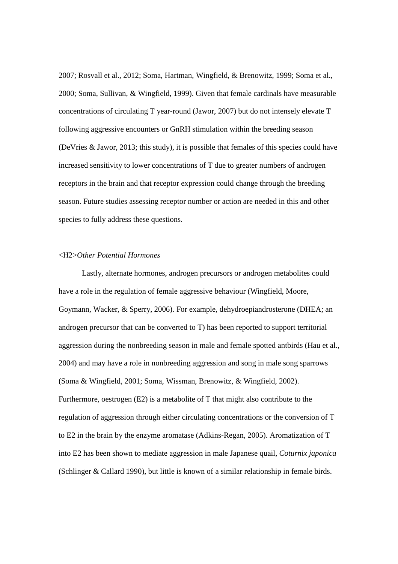2007; Rosvall et al., 2012; Soma, Hartman, Wingfield, & Brenowitz, 1999; Soma et al., 2000; Soma, Sullivan, & Wingfield, 1999). Given that female cardinals have measurable concentrations of circulating T year-round (Jawor, 2007) but do not intensely elevate T following aggressive encounters or GnRH stimulation within the breeding season (DeVries & Jawor, 2013; this study), it is possible that females of this species could have increased sensitivity to lower concentrations of T due to greater numbers of androgen receptors in the brain and that receptor expression could change through the breeding season. Future studies assessing receptor number or action are needed in this and other species to fully address these questions.

#### <H2>*Other Potential Hormones*

Lastly, alternate hormones, androgen precursors or androgen metabolites could have a role in the regulation of female aggressive behaviour (Wingfield, Moore, Goymann, Wacker, & Sperry, 2006). For example, dehydroepiandrosterone (DHEA; an androgen precursor that can be converted to T) has been reported to support territorial aggression during the nonbreeding season in male and female spotted antbirds (Hau et al., 2004) and may have a role in nonbreeding aggression and song in male song sparrows (Soma & Wingfield, 2001; Soma, Wissman, Brenowitz, & Wingfield, 2002). Furthermore, oestrogen (E2) is a metabolite of T that might also contribute to the regulation of aggression through either circulating concentrations or the conversion of T to E2 in the brain by the enzyme aromatase (Adkins-Regan, 2005). Aromatization of T into E2 has been shown to mediate aggression in male Japanese quail, *Coturnix japonica* (Schlinger & Callard 1990), but little is known of a similar relationship in female birds.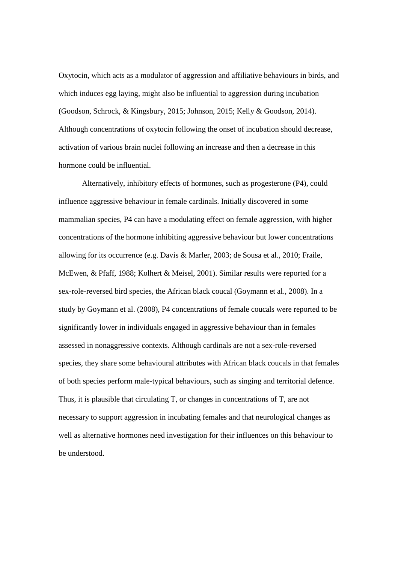Oxytocin, which acts as a modulator of aggression and affiliative behaviours in birds, and which induces egg laying, might also be influential to aggression during incubation (Goodson, Schrock, & Kingsbury, 2015; Johnson, 2015; Kelly & Goodson, 2014). Although concentrations of oxytocin following the onset of incubation should decrease, activation of various brain nuclei following an increase and then a decrease in this hormone could be influential.

Alternatively, inhibitory effects of hormones, such as progesterone (P4), could influence aggressive behaviour in female cardinals. Initially discovered in some mammalian species, P4 can have a modulating effect on female aggression, with higher concentrations of the hormone inhibiting aggressive behaviour but lower concentrations allowing for its occurrence (e.g. Davis & Marler, 2003; de Sousa et al., 2010; Fraile, McEwen, & Pfaff, 1988; Kolhert & Meisel, 2001). Similar results were reported for a sex-role-reversed bird species, the African black coucal (Goymann et al., 2008). In a study by Goymann et al. (2008), P4 concentrations of female coucals were reported to be significantly lower in individuals engaged in aggressive behaviour than in females assessed in nonaggressive contexts. Although cardinals are not a sex-role-reversed species, they share some behavioural attributes with African black coucals in that females of both species perform male-typical behaviours, such as singing and territorial defence. Thus, it is plausible that circulating T, or changes in concentrations of T, are not necessary to support aggression in incubating females and that neurological changes as well as alternative hormones need investigation for their influences on this behaviour to be understood.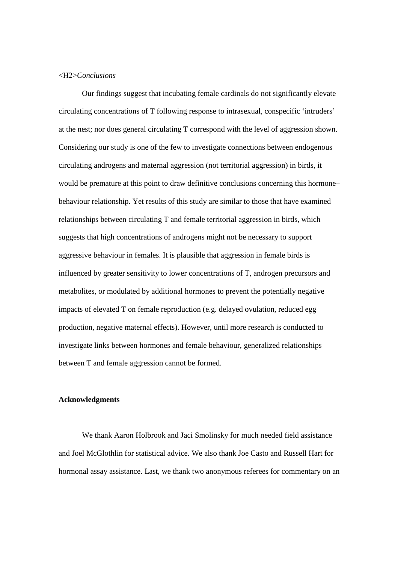#### <H2>*Conclusions*

 Our findings suggest that incubating female cardinals do not significantly elevate circulating concentrations of T following response to intrasexual, conspecific 'intruders' at the nest; nor does general circulating T correspond with the level of aggression shown. Considering our study is one of the few to investigate connections between endogenous circulating androgens and maternal aggression (not territorial aggression) in birds, it would be premature at this point to draw definitive conclusions concerning this hormone– behaviour relationship. Yet results of this study are similar to those that have examined relationships between circulating T and female territorial aggression in birds, which suggests that high concentrations of androgens might not be necessary to support aggressive behaviour in females. It is plausible that aggression in female birds is influenced by greater sensitivity to lower concentrations of T, androgen precursors and metabolites, or modulated by additional hormones to prevent the potentially negative impacts of elevated T on female reproduction (e.g. delayed ovulation, reduced egg production, negative maternal effects). However, until more research is conducted to investigate links between hormones and female behaviour, generalized relationships between T and female aggression cannot be formed.

## **Acknowledgments**

 We thank Aaron Holbrook and Jaci Smolinsky for much needed field assistance and Joel McGlothlin for statistical advice. We also thank Joe Casto and Russell Hart for hormonal assay assistance. Last, we thank two anonymous referees for commentary on an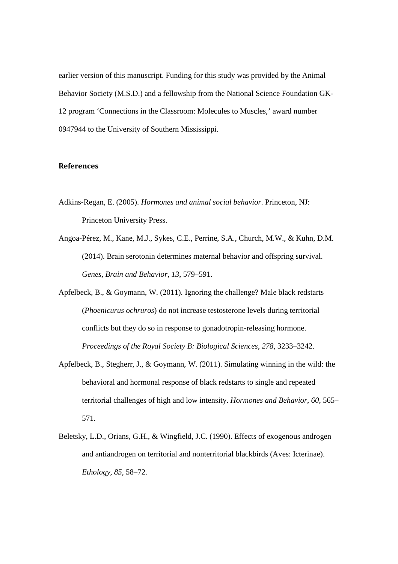earlier version of this manuscript. Funding for this study was provided by the Animal Behavior Society (M.S.D.) and a fellowship from the National Science Foundation GK-12 program 'Connections in the Classroom: Molecules to Muscles,' award number 0947944 to the University of Southern Mississippi.

# **References**

- Adkins-Regan, E. (2005). *Hormones and animal social behavior*. Princeton, NJ: Princeton University Press.
- Angoa-Pérez, M., Kane, M.J., Sykes, C.E., Perrine, S.A., Church, M.W., & Kuhn, D.M. (2014). Brain serotonin determines maternal behavior and offspring survival. *Genes, Brain and Behavior*, *13*, 579–591.
- Apfelbeck, B., & Goymann, W. (2011). Ignoring the challenge? Male black redstarts (*Phoenicurus ochruros*) do not increase testosterone levels during territorial conflicts but they do so in response to gonadotropin-releasing hormone. *Proceedings of the Royal Society B: Biological Sciences, 278*, 3233–3242.
- Apfelbeck, B., Stegherr, J., & Goymann, W. (2011). Simulating winning in the wild: the behavioral and hormonal response of black redstarts to single and repeated territorial challenges of high and low intensity. *Hormones and Behavior*, *60*, 565– 571.
- Beletsky, L.D., Orians, G.H., & Wingfield, J.C. (1990). Effects of exogenous androgen and antiandrogen on territorial and nonterritorial blackbirds (Aves: Icterinae). *Ethology*, *85*, 58–72.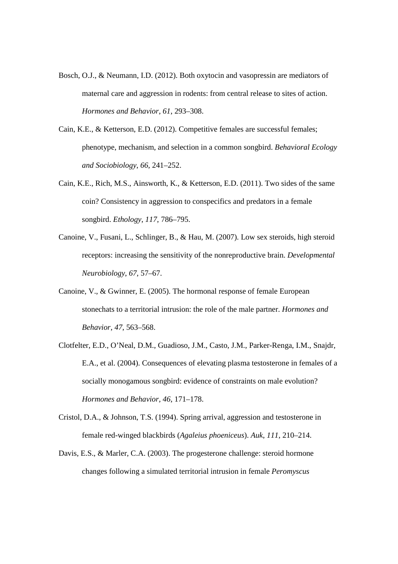- Bosch, O.J., & Neumann, I.D. (2012). Both oxytocin and vasopressin are mediators of maternal care and aggression in rodents: from central release to sites of action. *Hormones and Behavior*, *61*, 293–308.
- Cain, K.E., & Ketterson, E.D. (2012). Competitive females are successful females; phenotype, mechanism, and selection in a common songbird. *Behavioral Ecology and Sociobiology*, *66*, 241–252.
- Cain, K.E., Rich, M.S., Ainsworth, K., & Ketterson, E.D. (2011). Two sides of the same coin? Consistency in aggression to conspecifics and predators in a female songbird. *Ethology*, *117*, 786–795.
- Canoine, V., Fusani, L., Schlinger, B., & Hau, M. (2007). Low sex steroids, high steroid receptors: increasing the sensitivity of the nonreproductive brain. *Developmental Neurobiology*, *67*, 57–67.
- Canoine, V., & Gwinner, E. (2005). The hormonal response of female European stonechats to a territorial intrusion: the role of the male partner. *Hormones and Behavior*, *47*, 563–568.
- Clotfelter, E.D., O'Neal, D.M., Guadioso, J.M., Casto, J.M., Parker-Renga, I.M., Snajdr, E.A., et al. (2004). Consequences of elevating plasma testosterone in females of a socially monogamous songbird: evidence of constraints on male evolution? *Hormones and Behavior, 46*, 171–178.
- Cristol, D.A., & Johnson, T.S. (1994). Spring arrival, aggression and testosterone in female red-winged blackbirds (*Agaleius phoeniceus*). *Auk*, *111*, 210–214.
- Davis, E.S., & Marler, C.A. (2003). The progesterone challenge: steroid hormone changes following a simulated territorial intrusion in female *Peromyscus*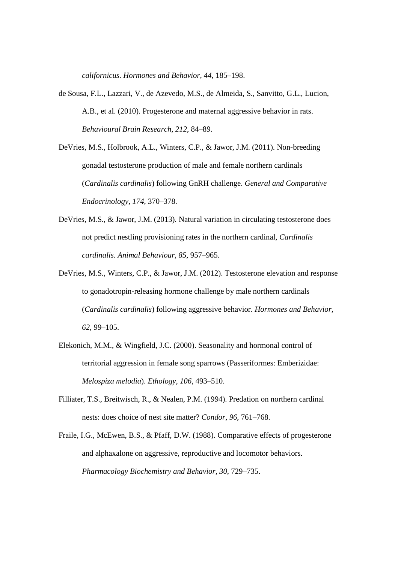*californicus*. *Hormones and Behavior, 44*, 185–198.

- de Sousa, F.L., Lazzari, V., de Azevedo, M.S., de Almeida, S., Sanvitto, G.L., Lucion, A.B., et al. (2010). Progesterone and maternal aggressive behavior in rats. *Behavioural Brain Research*, *212*, 84–89.
- DeVries, M.S., Holbrook, A.L., Winters, C.P., & Jawor, J.M. (2011). Non-breeding gonadal testosterone production of male and female northern cardinals (*Cardinalis cardinalis*) following GnRH challenge. *General and Comparative Endocrinology, 174*, 370–378.
- DeVries, M.S., & Jawor, J.M. (2013). Natural variation in circulating testosterone does not predict nestling provisioning rates in the northern cardinal, *Cardinalis cardinalis*. *Animal Behaviour*, *85*, 957–965.
- DeVries, M.S., Winters, C.P., & Jawor, J.M. (2012). Testosterone elevation and response to gonadotropin-releasing hormone challenge by male northern cardinals (*Cardinalis cardinalis*) following aggressive behavior. *Hormones and Behavior, 62*, 99–105.
- Elekonich, M.M., & Wingfield, J.C. (2000). Seasonality and hormonal control of territorial aggression in female song sparrows (Passeriformes: Emberizidae: *Melospiza melodia*). *Ethology*, *106*, 493–510.
- Filliater, T.S., Breitwisch, R., & Nealen, P.M. (1994). Predation on northern cardinal nests: does choice of nest site matter? *Condor, 96*, 761–768.
- Fraile, I.G., McEwen, B.S., & Pfaff, D.W. (1988). Comparative effects of progesterone and alphaxalone on aggressive, reproductive and locomotor behaviors. *Pharmacology Biochemistry and Behavior*, *30*, 729–735.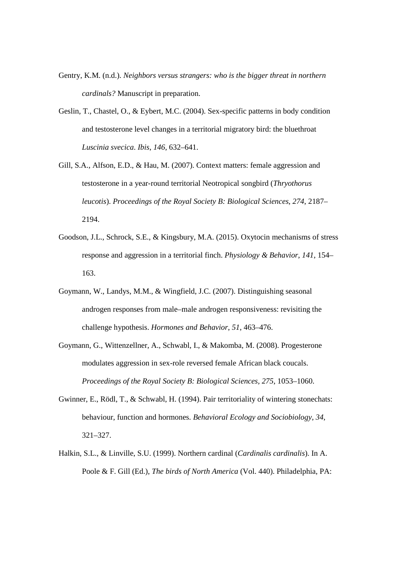- Gentry, K.M. (n.d.). *Neighbors versus strangers: who is the bigger threat in northern cardinals?* Manuscript in preparation.
- Geslin, T., Chastel, O., & Eybert, M.C. (2004). Sex-specific patterns in body condition and testosterone level changes in a territorial migratory bird: the bluethroat *Luscinia svecica*. *Ibis*, *146*, 632–641.
- Gill, S.A., Alfson, E.D., & Hau, M. (2007). Context matters: female aggression and testosterone in a year-round territorial Neotropical songbird (*Thryothorus leucotis*). *Proceedings of the Royal Society B: Biological Sciences*, *274*, 2187– 2194.
- Goodson, J.L., Schrock, S.E., & Kingsbury, M.A. (2015). Oxytocin mechanisms of stress response and aggression in a territorial finch. *Physiology & Behavior*, *141*, 154– 163.
- Goymann, W., Landys, M.M., & Wingfield, J.C. (2007). Distinguishing seasonal androgen responses from male–male androgen responsiveness: revisiting the challenge hypothesis. *Hormones and Behavior*, *51*, 463–476.
- Goymann, G., Wittenzellner, A., Schwabl, I., & Makomba, M. (2008). Progesterone modulates aggression in sex-role reversed female African black coucals. *Proceedings of the Royal Society B: Biological Sciences, 275*, 1053–1060.
- Gwinner, E., Rödl, T., & Schwabl, H. (1994). Pair territoriality of wintering stonechats: behaviour, function and hormones. *Behavioral Ecology and Sociobiology*, *34*, 321–327.
- Halkin, S.L., & Linville, S.U. (1999). Northern cardinal (*Cardinalis cardinalis*). In A. Poole & F. Gill (Ed.), *The birds of North America* (Vol. 440). Philadelphia, PA: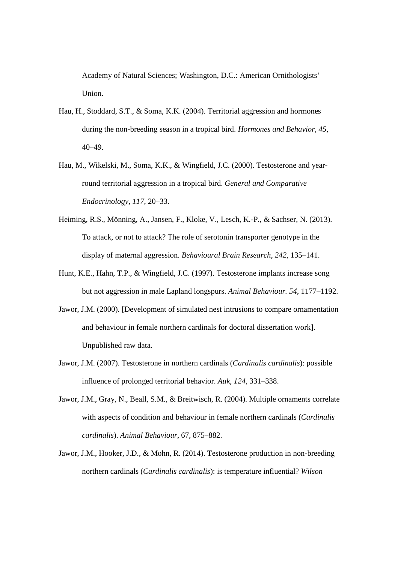Academy of Natural Sciences; Washington, D.C.: American Ornithologists' Union.

- Hau, H., Stoddard, S.T., & Soma, K.K. (2004). Territorial aggression and hormones during the non-breeding season in a tropical bird. *Hormones and Behavior, 45*, 40–49.
- Hau, M., Wikelski, M., Soma, K.K., & Wingfield, J.C. (2000). Testosterone and yearround territorial aggression in a tropical bird. *General and Comparative Endocrinology, 117*, 20–33.
- Heiming, R.S., Mönning, A., Jansen, F., Kloke, V., Lesch, K.-P., & Sachser, N. (2013). To attack, or not to attack? The role of serotonin transporter genotype in the display of maternal aggression. *Behavioural Brain Research*, *242*, 135–141.
- Hunt, K.E., Hahn, T.P., & Wingfield, J.C. (1997). Testosterone implants increase song but not aggression in male Lapland longspurs. *Animal Behaviour. 54*, 1177–1192.
- Jawor, J.M. (2000). [Development of simulated nest intrusions to compare ornamentation and behaviour in female northern cardinals for doctoral dissertation work]. Unpublished raw data.
- Jawor, J.M. (2007). Testosterone in northern cardinals (*Cardinalis cardinalis*): possible influence of prolonged territorial behavior. *Auk*, *124*, 331–338.
- Jawor, J.M., Gray, N., Beall, S.M., & Breitwisch, R. (2004). Multiple ornaments correlate with aspects of condition and behaviour in female northern cardinals (*Cardinalis cardinalis*). *Animal Behaviour*, 67, 875–882.
- Jawor, J.M., Hooker, J.D., & Mohn, R. (2014). Testosterone production in non-breeding northern cardinals (*Cardinalis cardinalis*): is temperature influential? *Wilson*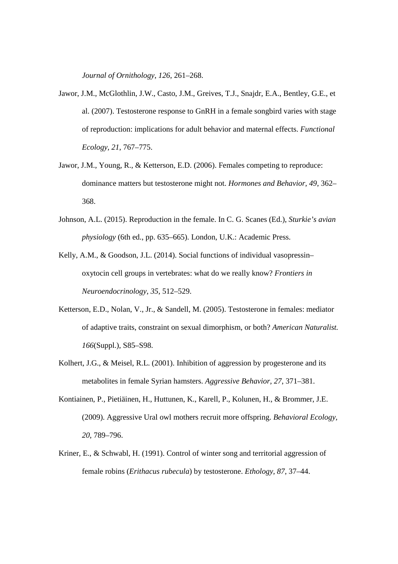*Journal of Ornithology*, *126*, 261–268.

- Jawor, J.M., McGlothlin, J.W., Casto, J.M., Greives, T.J., Snajdr, E.A., Bentley, G.E., et al. (2007). Testosterone response to GnRH in a female songbird varies with stage of reproduction: implications for adult behavior and maternal effects. *Functional Ecology, 21*, 767–775.
- Jawor, J.M., Young, R., & Ketterson, E.D. (2006). Females competing to reproduce: dominance matters but testosterone might not. *Hormones and Behavior, 49*, 362– 368.
- Johnson, A.L. (2015). Reproduction in the female. In C. G. Scanes (Ed.), *Sturkie's avian physiology* (6th ed., pp. 635–665). London, U.K.: Academic Press.
- Kelly, A.M., & Goodson, J.L. (2014). Social functions of individual vasopressin– oxytocin cell groups in vertebrates: what do we really know? *Frontiers in Neuroendocrinology*, *35*, 512–529.
- Ketterson, E.D., Nolan, V., Jr., & Sandell, M. (2005). Testosterone in females: mediator of adaptive traits, constraint on sexual dimorphism, or both? *American Naturalist. 166*(Suppl.), S85–S98.
- Kolhert, J.G., & Meisel, R.L. (2001). Inhibition of aggression by progesterone and its metabolites in female Syrian hamsters. *Aggressive Behavior, 27*, 371–381.
- Kontiainen, P., Pietiäinen, H., Huttunen, K., Karell, P., Kolunen, H., & Brommer, J.E. (2009). Aggressive Ural owl mothers recruit more offspring. *Behavioral Ecology, 20*, 789–796.
- Kriner, E., & Schwabl, H. (1991). Control of winter song and territorial aggression of female robins (*Erithacus rubecula*) by testosterone. *Ethology, 87*, 37–44.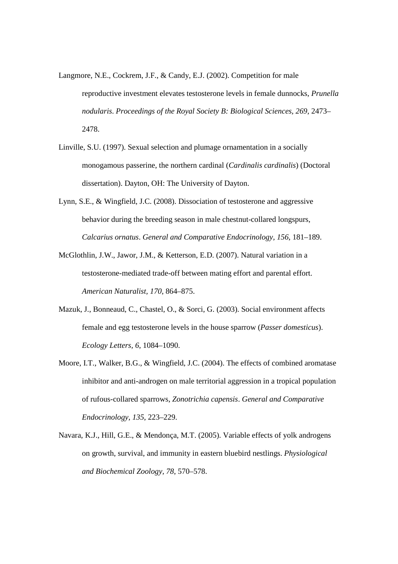- Langmore, N.E., Cockrem, J.F., & Candy, E.J. (2002). Competition for male reproductive investment elevates testosterone levels in female dunnocks, *Prunella nodularis*. *Proceedings of the Royal Society B: Biological Sciences, 269*, 2473– 2478.
- Linville, S.U. (1997). Sexual selection and plumage ornamentation in a socially monogamous passerine, the northern cardinal (*Cardinalis cardinalis*) (Doctoral dissertation). Dayton, OH: The University of Dayton.
- Lynn, S.E., & Wingfield, J.C. (2008). Dissociation of testosterone and aggressive behavior during the breeding season in male chestnut-collared longspurs, *Calcarius ornatus*. *General and Comparative Endocrinology, 156*, 181–189.
- McGlothlin, J.W., Jawor, J.M., & Ketterson, E.D. (2007). Natural variation in a testosterone-mediated trade-off between mating effort and parental effort. *American Naturalist, 170*, 864–875.
- Mazuk, J., Bonneaud, C., Chastel, O., & Sorci, G. (2003). Social environment affects female and egg testosterone levels in the house sparrow (*Passer domesticus*). *Ecology Letters, 6*, 1084–1090.
- Moore, I.T., Walker, B.G., & Wingfield, J.C. (2004). The effects of combined aromatase inhibitor and anti-androgen on male territorial aggression in a tropical population of rufous-collared sparrows, *Zonotrichia capensis*. *General and Comparative Endocrinology, 135*, 223–229.
- Navara, K.J., Hill, G.E., & Mendonça, M.T. (2005). Variable effects of yolk androgens on growth, survival, and immunity in eastern bluebird nestlings. *Physiological and Biochemical Zoology, 78*, 570–578.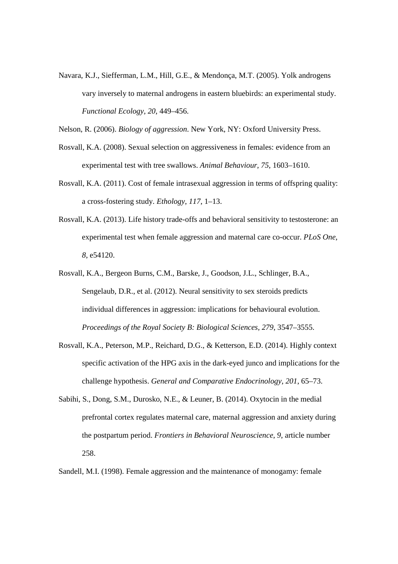Navara, K.J., Siefferman, L.M., Hill, G.E., & Mendonça, M.T. (2005). Yolk androgens vary inversely to maternal androgens in eastern bluebirds: an experimental study. *Functional Ecology, 20*, 449–456.

Nelson, R. (2006). *Biology of aggression*. New York, NY: Oxford University Press.

- Rosvall, K.A. (2008). Sexual selection on aggressiveness in females: evidence from an experimental test with tree swallows. *Animal Behaviour, 75*, 1603–1610.
- Rosvall, K.A. (2011). Cost of female intrasexual aggression in terms of offspring quality: a cross-fostering study. *Ethology*, *117*, 1–13.
- Rosvall, K.A. (2013). Life history trade-offs and behavioral sensitivity to testosterone: an experimental test when female aggression and maternal care co-occur. *PLoS One*, *8*, e54120.
- Rosvall, K.A., Bergeon Burns, C.M., Barske, J., Goodson, J.L., Schlinger, B.A., Sengelaub, D.R., et al. (2012). Neural sensitivity to sex steroids predicts individual differences in aggression: implications for behavioural evolution. *Proceedings of the Royal Society B: Biological Sciences, 279*, 3547–3555.
- Rosvall, K.A., Peterson, M.P., Reichard, D.G., & Ketterson, E.D. (2014). Highly context specific activation of the HPG axis in the dark-eyed junco and implications for the challenge hypothesis. *General and Comparative Endocrinology*, *201*, 65–73.
- Sabihi, S., Dong, S.M., Durosko, N.E., & Leuner, B. (2014). Oxytocin in the medial prefrontal cortex regulates maternal care, maternal aggression and anxiety during the postpartum period. *Frontiers in Behavioral Neuroscience*, *9*, article number 258.

Sandell, M.I. (1998). Female aggression and the maintenance of monogamy: female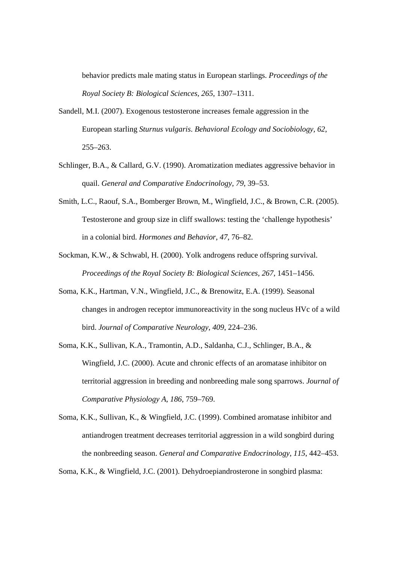behavior predicts male mating status in European starlings. *Proceedings of the Royal Society B: Biological Sciences, 265*, 1307–1311.

- Sandell, M.I. (2007). Exogenous testosterone increases female aggression in the European starling *Sturnus vulgaris*. *Behavioral Ecology and Sociobiology, 62*, 255–263.
- Schlinger, B.A., & Callard, G.V. (1990). Aromatization mediates aggressive behavior in quail. *General and Comparative Endocrinology, 79*, 39–53.
- Smith, L.C., Raouf, S.A., Bomberger Brown, M., Wingfield, J.C., & Brown, C.R. (2005). Testosterone and group size in cliff swallows: testing the 'challenge hypothesis' in a colonial bird. *Hormones and Behavior*, *47*, 76–82.
- Sockman, K.W., & Schwabl, H. (2000). Yolk androgens reduce offspring survival. *Proceedings of the Royal Society B: Biological Sciences, 267*, 1451–1456.
- Soma, K.K., Hartman, V.N., Wingfield, J.C., & Brenowitz, E.A. (1999). Seasonal changes in androgen receptor immunoreactivity in the song nucleus HVc of a wild bird. *Journal of Comparative Neurology*, *409*, 224–236.
- Soma, K.K., Sullivan, K.A., Tramontin, A.D., Saldanha, C.J., Schlinger, B.A., & Wingfield, J.C. (2000). Acute and chronic effects of an aromatase inhibitor on territorial aggression in breeding and nonbreeding male song sparrows. *Journal of Comparative Physiology A*, *186*, 759–769.

Soma, K.K., Sullivan, K., & Wingfield, J.C. (1999). Combined aromatase inhibitor and antiandrogen treatment decreases territorial aggression in a wild songbird during the nonbreeding season. *General and Comparative Endocrinology*, *115*, 442–453.

Soma, K.K., & Wingfield, J.C. (2001). Dehydroepiandrosterone in songbird plasma: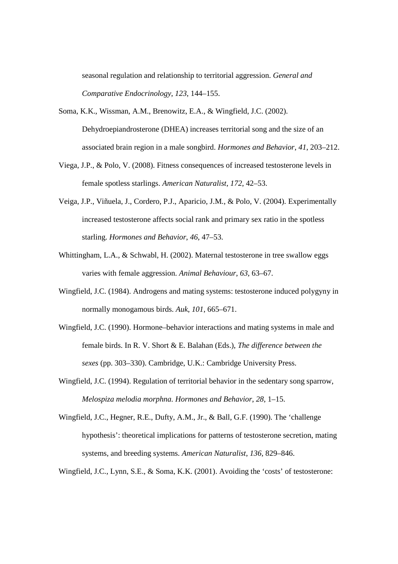seasonal regulation and relationship to territorial aggression. *General and Comparative Endocrinology*, *123*, 144–155.

Soma, K.K., Wissman, A.M., Brenowitz, E.A., & Wingfield, J.C. (2002). Dehydroepiandrosterone (DHEA) increases territorial song and the size of an associated brain region in a male songbird. *Hormones and Behavior*, *41*, 203–212.

- Viega, J.P., & Polo, V. (2008). Fitness consequences of increased testosterone levels in female spotless starlings. *American Naturalist*, *172*, 42–53.
- Veiga, J.P., Viñuela, J., Cordero, P.J., Aparicio, J.M., & Polo, V. (2004). Experimentally increased testosterone affects social rank and primary sex ratio in the spotless starling. *Hormones and Behavior*, *46*, 47–53.
- Whittingham, L.A., & Schwabl, H. (2002). Maternal testosterone in tree swallow eggs varies with female aggression. *Animal Behaviour*, *63*, 63–67.
- Wingfield, J.C. (1984). Androgens and mating systems: testosterone induced polygyny in normally monogamous birds. *Auk*, *101*, 665–671.
- Wingfield, J.C. (1990). Hormone–behavior interactions and mating systems in male and female birds. In R. V. Short & E. Balahan (Eds.), *The difference between the sexes* (pp. 303–330). Cambridge, U.K.: Cambridge University Press.
- Wingfield, J.C. (1994). Regulation of territorial behavior in the sedentary song sparrow, *Melospiza melodia morphna. Hormones and Behavior*, *28*, 1–15.
- Wingfield, J.C., Hegner, R.E., Dufty, A.M., Jr., & Ball, G.F. (1990). The 'challenge hypothesis': theoretical implications for patterns of testosterone secretion, mating systems, and breeding systems. *American Naturalist*, *136*, 829–846.

Wingfield, J.C., Lynn, S.E., & Soma, K.K. (2001). Avoiding the 'costs' of testosterone: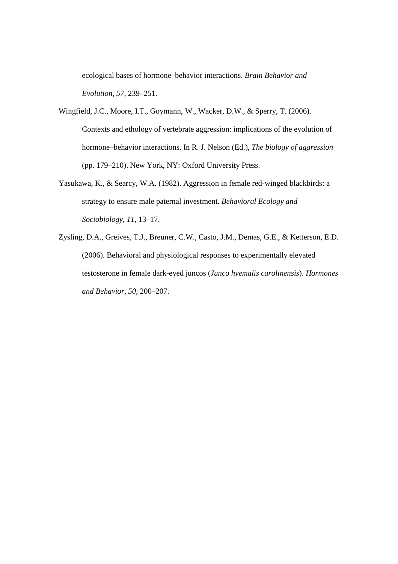ecological bases of hormone–behavior interactions. *Brain Behavior and Evolution*, *57*, 239–251.

Wingfield, J.C., Moore, I.T., Goymann, W., Wacker, D.W., & Sperry, T. (2006). Contexts and ethology of vertebrate aggression: implications of the evolution of hormone–behavior interactions. In R. J. Nelson (Ed.), *The biology of aggression* (pp. 179–210). New York, NY: Oxford University Press.

- Yasukawa, K., & Searcy, W.A. (1982). Aggression in female red-winged blackbirds: a strategy to ensure male paternal investment. *Behavioral Ecology and Sociobiology*, *11*, 13–17.
- Zysling, D.A., Greives, T.J., Breuner, C.W., Casto, J.M., Demas, G.E., & Ketterson, E.D. (2006). Behavioral and physiological responses to experimentally elevated testosterone in female dark-eyed juncos (*Junco hyemalis carolinensis*). *Hormones and Behavior*, *50*, 200–207.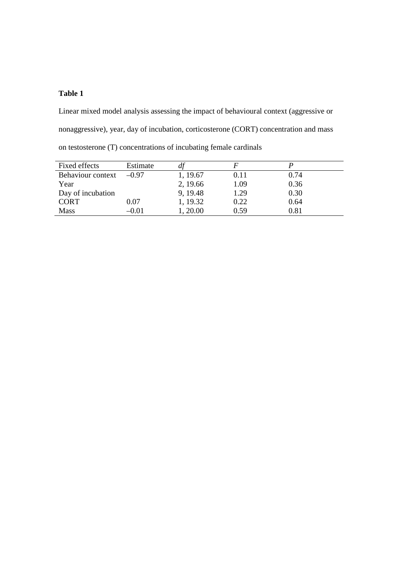# **Table 1**

Linear mixed model analysis assessing the impact of behavioural context (aggressive or nonaggressive), year, day of incubation, corticosterone (CORT) concentration and mass on testosterone (T) concentrations of incubating female cardinals

| Fixed effects     | Estimate |          |      |            |
|-------------------|----------|----------|------|------------|
| Behaviour context | $-0.97$  | 1, 19.67 | 0.11 | 0.74       |
| Year              |          | 2, 19.66 | 1.09 | 0.36       |
| Day of incubation |          | 9, 19.48 | 1.29 | 0.30       |
| <b>CORT</b>       | $0.07\,$ | 1, 19.32 | 0.22 | 0.64       |
| <b>Mass</b>       | $-0.01$  | , 20.00  | 0.59 | $\rm 0.81$ |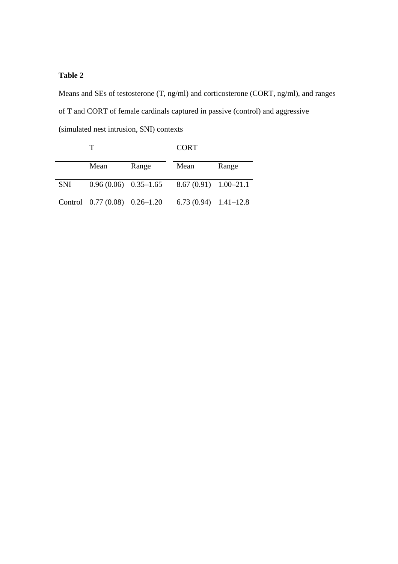# **Table 2**

Means and SEs of testosterone (T, ng/ml) and corticosterone (CORT, ng/ml), and ranges of T and CORT of female cardinals captured in passive (control) and aggressive

(simulated nest intrusion, SNI) contexts

|            |                                  |       | <b>CORT</b>              |       |
|------------|----------------------------------|-------|--------------------------|-------|
|            | Mean                             | Range | Mean                     | Range |
| <b>SNI</b> | $0.96(0.06)$ $0.35-1.65$         |       | $8.67(0.91)$ $1.00-21.1$ |       |
|            | Control $0.77(0.08)$ $0.26-1.20$ |       | $6.73(0.94)$ 1.41-12.8   |       |